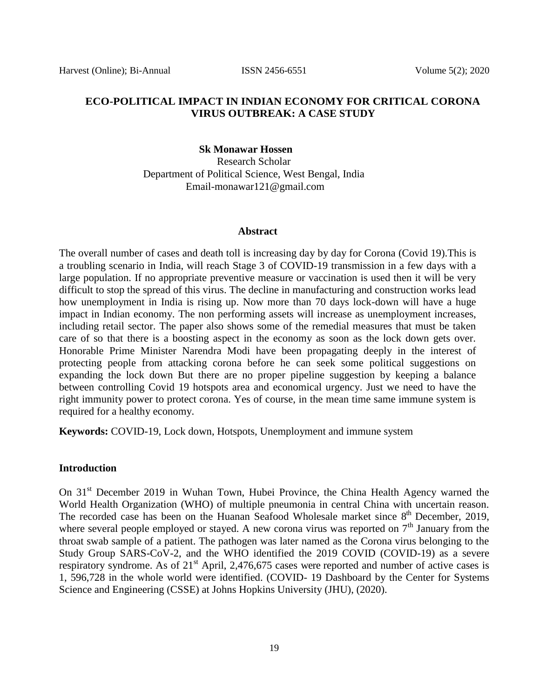#### **ECO-POLITICAL IMPACT IN INDIAN ECONOMY FOR CRITICAL CORONA VIRUS OUTBREAK: A CASE STUDY**

#### **Sk Monawar Hossen**

Research Scholar Department of Political Science, West Bengal, India [Email-monawar121@gmail.com](mailto:Email-monawar121@gmail.com)

#### **Abstract**

The overall number of cases and death toll is increasing day by day for Corona (Covid 19).This is a troubling scenario in India, will reach Stage 3 of COVID-19 transmission in a few days with a large population. If no appropriate preventive measure or vaccination is used then it will be very difficult to stop the spread of this virus. The decline in manufacturing and construction works lead how unemployment in India is rising up. Now more than 70 days lock-down will have a huge impact in Indian economy. The non performing assets will increase as unemployment increases, including retail sector. The paper also shows some of the remedial measures that must be taken care of so that there is a boosting aspect in the economy as soon as the lock down gets over. Honorable Prime Minister Narendra Modi have been propagating deeply in the interest of protecting people from attacking corona before he can seek some political suggestions on expanding the lock down But there are no proper pipeline suggestion by keeping a balance between controlling Covid 19 hotspots area and economical urgency. Just we need to have the right immunity power to protect corona. Yes of course, in the mean time same immune system is required for a healthy economy.

**Keywords:** COVID-19, Lock down, Hotspots, Unemployment and immune system

#### **Introduction**

On 31<sup>st</sup> December 2019 in Wuhan Town, Hubei Province, the China Health Agency warned the World Health Organization (WHO) of multiple pneumonia in central China with uncertain reason. The recorded case has been on the Huanan Seafood Wholesale market since  $8<sup>th</sup>$  December, 2019, where several people employed or stayed. A new corona virus was reported on  $7<sup>th</sup>$  January from the throat swab sample of a patient. The pathogen was later named as the Corona virus belonging to the Study Group SARS-CoV-2, and the WHO identified the 2019 COVID (COVID-19) as a severe respiratory syndrome. As of 21<sup>st</sup> April, 2,476,675 cases were reported and number of active cases is 1, 596,728 in the whole world were identified. (COVID- 19 Dashboard by the Center for Systems Science and Engineering (CSSE) at Johns Hopkins University (JHU), (2020).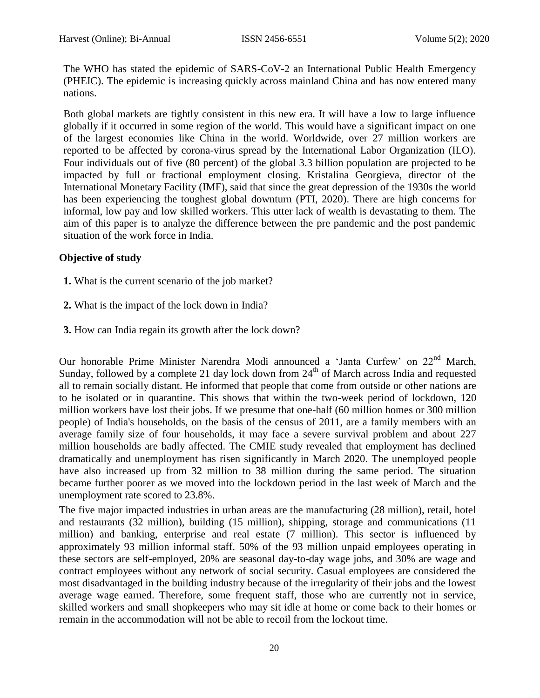The WHO has stated the epidemic of SARS-CoV-2 an International Public Health Emergency (PHEIC). The epidemic is increasing quickly across mainland China and has now entered many nations.

Both global markets are tightly consistent in this new era. It will have a low to large influence globally if it occurred in some region of the world. This would have a significant impact on one of the largest economies like China in the world. Worldwide, over 27 million workers are reported to be affected by corona-virus spread by the International Labor Organization (ILO). Four individuals out of five (80 percent) of the global 3.3 billion population are projected to be impacted by full or fractional employment closing. Kristalina Georgieva, director of the International Monetary Facility (IMF), said that since the great depression of the 1930s the world has been experiencing the toughest global downturn (PTI, 2020). There are high concerns for informal, low pay and low skilled workers. This utter lack of wealth is devastating to them. The aim of this paper is to analyze the difference between the pre pandemic and the post pandemic situation of the work force in India.

# **Objective of study**

- **1.** What is the current scenario of the job market?
- **2.** What is the impact of the lock down in India?
- **3.** How can India regain its growth after the lock down?

Our honorable Prime Minister Narendra Modi announced a 'Janta Curfew' on 22<sup>nd</sup> March, Sunday, followed by a complete 21 day lock down from  $24<sup>th</sup>$  of March across India and requested all to remain socially distant. He informed that people that come from outside or other nations are to be isolated or in quarantine. This shows that within the two-week period of lockdown, 120 million workers have lost their jobs. If we presume that one-half (60 million homes or 300 million people) of India's households, on the basis of the census of 2011, are a family members with an average family size of four households, it may face a severe survival problem and about 227 million households are badly affected. The CMIE study revealed that employment has declined dramatically and unemployment has risen significantly in March 2020. The unemployed people have also increased up from 32 million to 38 million during the same period. The situation became further poorer as we moved into the lockdown period in the last week of March and the unemployment rate scored to 23.8%.

The five major impacted industries in urban areas are the manufacturing (28 million), retail, hotel and restaurants (32 million), building (15 million), shipping, storage and communications (11 million) and banking, enterprise and real estate (7 million). This sector is influenced by approximately 93 million informal staff. 50% of the 93 million unpaid employees operating in these sectors are self-employed, 20% are seasonal day-to-day wage jobs, and 30% are wage and contract employees without any network of social security. Casual employees are considered the most disadvantaged in the building industry because of the irregularity of their jobs and the lowest average wage earned. Therefore, some frequent staff, those who are currently not in service, skilled workers and small shopkeepers who may sit idle at home or come back to their homes or remain in the accommodation will not be able to recoil from the lockout time.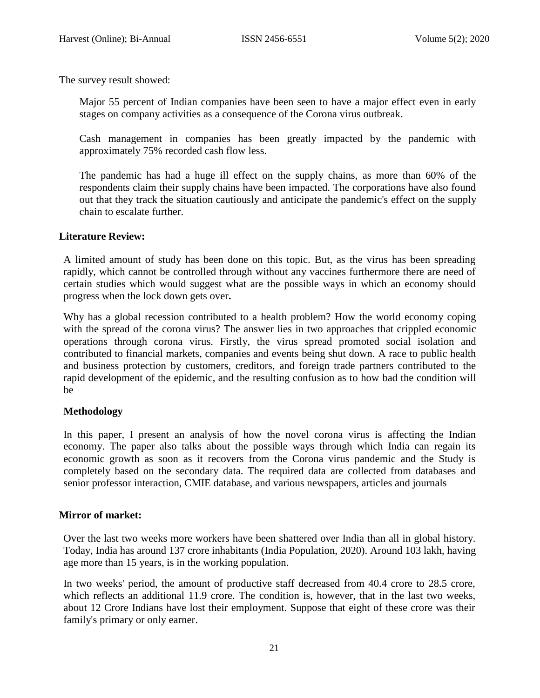The survey result showed:

Major 55 percent of Indian companies have been seen to have a major effect even in early stages on company activities as a consequence of the Corona virus outbreak.

Cash management in companies has been greatly impacted by the pandemic with approximately 75% recorded cash flow less.

The pandemic has had a huge ill effect on the supply chains, as more than 60% of the respondents claim their supply chains have been impacted. The corporations have also found out that they track the situation cautiously and anticipate the pandemic's effect on the supply chain to escalate further.

### **Literature Review:**

A limited amount of study has been done on this topic. But, as the virus has been spreading rapidly, which cannot be controlled through without any vaccines furthermore there are need of certain studies which would suggest what are the possible ways in which an economy should progress when the lock down gets over**.**

Why has a global recession contributed to a health problem? How the world economy coping with the spread of the corona virus? The answer lies in two approaches that crippled economic operations through corona virus. Firstly, the virus spread promoted social isolation and contributed to financial markets, companies and events being shut down. A race to public health and business protection by customers, creditors, and foreign trade partners contributed to the rapid development of the epidemic, and the resulting confusion as to how bad the condition will be

# **Methodology**

In this paper, I present an analysis of how the novel corona virus is affecting the Indian economy. The paper also talks about the possible ways through which India can regain its economic growth as soon as it recovers from the Corona virus pandemic and the Study is completely based on the secondary data. The required data are collected from databases and senior professor interaction, CMIE database, and various newspapers, articles and journals

#### **Mirror of market:**

Over the last two weeks more workers have been shattered over India than all in global history. Today, India has around 137 crore inhabitants (India Population, 2020). Around 103 lakh, having age more than 15 years, is in the working population.

In two weeks' period, the amount of productive staff decreased from 40.4 crore to 28.5 crore, which reflects an additional 11.9 crore. The condition is, however, that in the last two weeks, about 12 Crore Indians have lost their employment. Suppose that eight of these crore was their family's primary or only earner.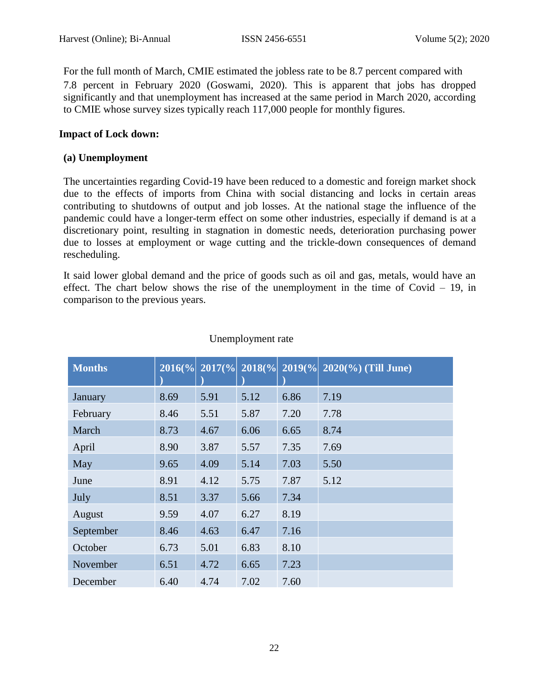For the full month of March, CMIE estimated the jobless rate to be 8.7 percent compared with 7.8 percent in February 2020 (Goswami, 2020). This is apparent that jobs has dropped significantly and that unemployment has increased at the same period in March 2020, according to CMIE whose survey sizes typically reach 117,000 people for monthly figures.

### **Impact of Lock down:**

#### **(a) Unemployment**

The uncertainties regarding Covid-19 have been reduced to a domestic and foreign market shock due to the effects of imports from China with social distancing and locks in certain areas contributing to shutdowns of output and job losses. At the national stage the influence of the pandemic could have a longer-term effect on some other industries, especially if demand is at a discretionary point, resulting in stagnation in domestic needs, deterioration purchasing power due to losses at employment or wage cutting and the trickle-down consequences of demand rescheduling.

It said lower global demand and the price of goods such as oil and gas, metals, would have an effect. The chart below shows the rise of the unemployment in the time of Covid  $-19$ , in comparison to the previous years.

| <b>Months</b> | $2016\%$ | $2017\frac{6}{6}$ | $2018\%$ |      | $2019\frac{6}{6}$ 2020 $\overline{\left( \% \right)}$ (Till June) |
|---------------|----------|-------------------|----------|------|-------------------------------------------------------------------|
| January       | 8.69     | 5.91              | 5.12     | 6.86 | 7.19                                                              |
| February      | 8.46     | 5.51              | 5.87     | 7.20 | 7.78                                                              |
| March         | 8.73     | 4.67              | 6.06     | 6.65 | 8.74                                                              |
| April         | 8.90     | 3.87              | 5.57     | 7.35 | 7.69                                                              |
| May           | 9.65     | 4.09              | 5.14     | 7.03 | 5.50                                                              |
| June          | 8.91     | 4.12              | 5.75     | 7.87 | 5.12                                                              |
| July          | 8.51     | 3.37              | 5.66     | 7.34 |                                                                   |
| August        | 9.59     | 4.07              | 6.27     | 8.19 |                                                                   |
| September     | 8.46     | 4.63              | 6.47     | 7.16 |                                                                   |
| October       | 6.73     | 5.01              | 6.83     | 8.10 |                                                                   |
| November      | 6.51     | 4.72              | 6.65     | 7.23 |                                                                   |
| December      | 6.40     | 4.74              | 7.02     | 7.60 |                                                                   |

#### Unemployment rate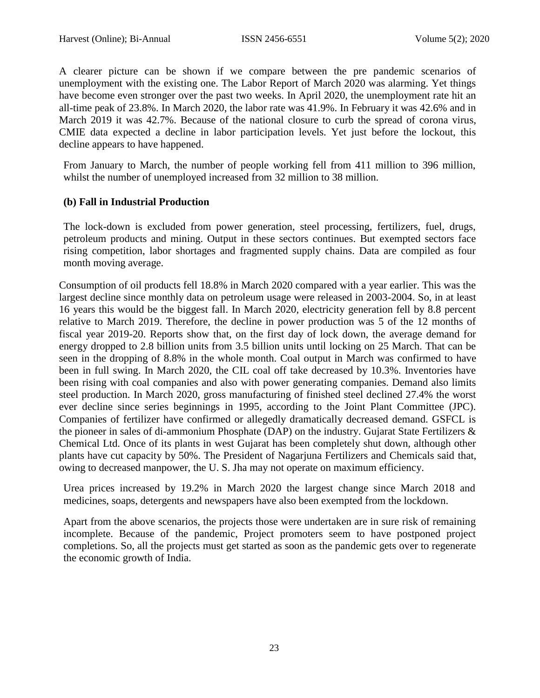A clearer picture can be shown if we compare between the pre pandemic scenarios of unemployment with the existing one. The Labor Report of March 2020 was alarming. Yet things have become even stronger over the past two weeks. In April 2020, the unemployment rate hit an all-time peak of 23.8%. In March 2020, the labor rate was 41.9%. In February it was 42.6% and in March 2019 it was 42.7%. Because of the national closure to curb the spread of corona virus, CMIE data expected a decline in labor participation levels. Yet just before the lockout, this decline appears to have happened.

From January to March, the number of people working fell from 411 million to 396 million, whilst the number of unemployed increased from 32 million to 38 million.

# **(b) Fall in Industrial Production**

The lock-down is excluded from power generation, steel processing, fertilizers, fuel, drugs, petroleum products and mining. Output in these sectors continues. But exempted sectors face rising competition, labor shortages and fragmented supply chains. Data are compiled as four month moving average.

Consumption of oil products fell 18.8% in March 2020 compared with a year earlier. This was the largest decline since monthly data on petroleum usage were released in 2003-2004. So, in at least 16 years this would be the biggest fall. In March 2020, electricity generation fell by 8.8 percent relative to March 2019. Therefore, the decline in power production was 5 of the 12 months of fiscal year 2019-20. Reports show that, on the first day of lock down, the average demand for energy dropped to 2.8 billion units from 3.5 billion units until locking on 25 March. That can be seen in the dropping of 8.8% in the whole month. Coal output in March was confirmed to have been in full swing. In March 2020, the CIL coal off take decreased by 10.3%. Inventories have been rising with coal companies and also with power generating companies. Demand also limits steel production. In March 2020, gross manufacturing of finished steel declined 27.4% the worst ever decline since series beginnings in 1995, according to the Joint Plant Committee (JPC). Companies of fertilizer have confirmed or allegedly dramatically decreased demand. GSFCL is the pioneer in sales of di-ammonium Phosphate (DAP) on the industry. Gujarat State Fertilizers & Chemical Ltd. Once of its plants in west Gujarat has been completely shut down, although other plants have cut capacity by 50%. The President of Nagarjuna Fertilizers and Chemicals said that, owing to decreased manpower, the U. S. Jha may not operate on maximum efficiency.

Urea prices increased by 19.2% in March 2020 the largest change since March 2018 and medicines, soaps, detergents and newspapers have also been exempted from the lockdown.

Apart from the above scenarios, the projects those were undertaken are in sure risk of remaining incomplete. Because of the pandemic, Project promoters seem to have postponed project completions. So, all the projects must get started as soon as the pandemic gets over to regenerate the economic growth of India.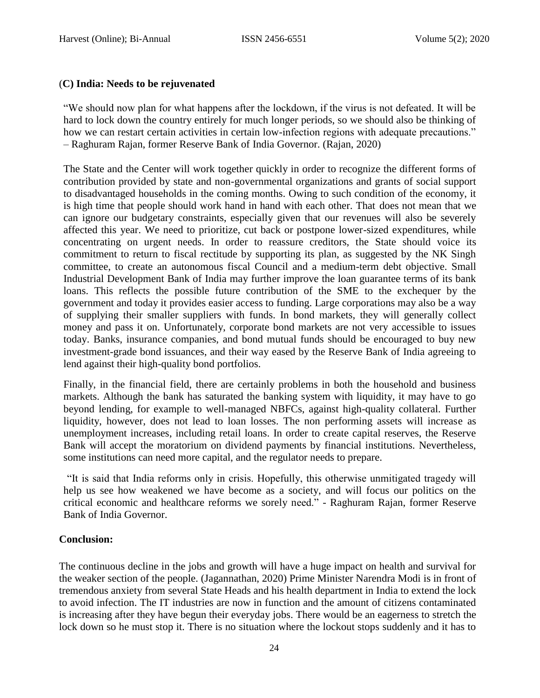### (**C) India: Needs to be rejuvenated**

―We should now plan for what happens after the lockdown, if the virus is not defeated. It will be hard to lock down the country entirely for much longer periods, so we should also be thinking of how we can restart certain activities in certain low-infection regions with adequate precautions." – Raghuram Rajan, former Reserve Bank of India Governor. (Rajan, 2020)

The State and the Center will work together quickly in order to recognize the different forms of contribution provided by state and non-governmental organizations and grants of social support to disadvantaged households in the coming months. Owing to such condition of the economy, it is high time that people should work hand in hand with each other. That does not mean that we can ignore our budgetary constraints, especially given that our revenues will also be severely affected this year. We need to prioritize, cut back or postpone lower-sized expenditures, while concentrating on urgent needs. In order to reassure creditors, the State should voice its commitment to return to fiscal rectitude by supporting its plan, as suggested by the NK Singh committee, to create an autonomous fiscal Council and a medium-term debt objective. Small Industrial Development Bank of India may further improve the loan guarantee terms of its bank loans. This reflects the possible future contribution of the SME to the exchequer by the government and today it provides easier access to funding. Large corporations may also be a way of supplying their smaller suppliers with funds. In bond markets, they will generally collect money and pass it on. Unfortunately, corporate bond markets are not very accessible to issues today. Banks, insurance companies, and bond mutual funds should be encouraged to buy new investment-grade bond issuances, and their way eased by the Reserve Bank of India agreeing to lend against their high-quality bond portfolios.

Finally, in the financial field, there are certainly problems in both the household and business markets. Although the bank has saturated the banking system with liquidity, it may have to go beyond lending, for example to well-managed NBFCs, against high-quality collateral. Further liquidity, however, does not lead to loan losses. The non performing assets will increase as unemployment increases, including retail loans. In order to create capital reserves, the Reserve Bank will accept the moratorium on dividend payments by financial institutions. Nevertheless, some institutions can need more capital, and the regulator needs to prepare.

―It is said that India reforms only in crisis. Hopefully, this otherwise unmitigated tragedy will help us see how weakened we have become as a society, and will focus our politics on the critical economic and healthcare reforms we sorely need." - Raghuram Rajan, former Reserve Bank of India Governor.

# **Conclusion:**

The continuous decline in the jobs and growth will have a huge impact on health and survival for the weaker section of the people. (Jagannathan, 2020) Prime Minister Narendra Modi is in front of tremendous anxiety from several State Heads and his health department in India to extend the lock to avoid infection. The IT industries are now in function and the amount of citizens contaminated is increasing after they have begun their everyday jobs. There would be an eagerness to stretch the lock down so he must stop it. There is no situation where the lockout stops suddenly and it has to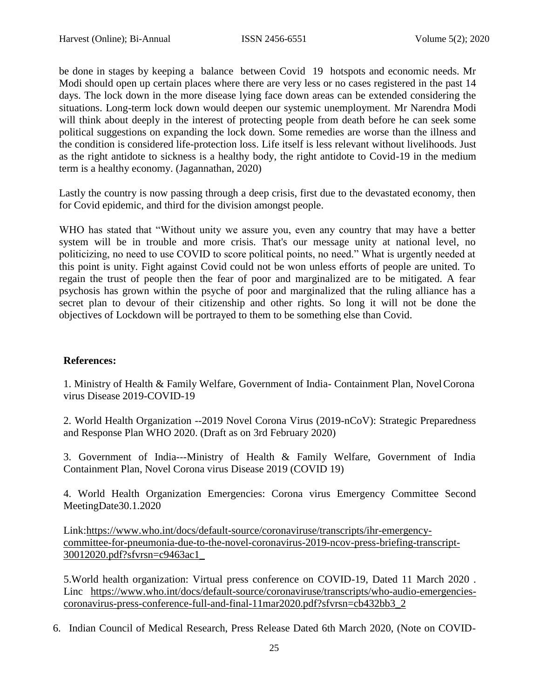be done in stages by keeping a balance between Covid 19 hotspots and economic needs. Mr Modi should open up certain places where there are very less or no cases registered in the past 14 days. The lock down in the more disease lying face down areas can be extended considering the situations. Long-term lock down would deepen our systemic unemployment. Mr Narendra Modi will think about deeply in the interest of protecting people from death before he can seek some political suggestions on expanding the lock down. Some remedies are worse than the illness and the condition is considered life-protection loss. Life itself is less relevant without livelihoods. Just as the right antidote to sickness is a healthy body, the right antidote to Covid-19 in the medium term is a healthy economy. (Jagannathan, 2020)

Lastly the country is now passing through a deep crisis, first due to the devastated economy, then for Covid epidemic, and third for the division amongst people.

WHO has stated that "Without unity we assure you, even any country that may have a better system will be in trouble and more crisis. That's our message unity at national level, no politicizing, no need to use COVID to score political points, no need." What is urgently needed at this point is unity. Fight against Covid could not be won unless efforts of people are united. To regain the trust of people then the fear of poor and marginalized are to be mitigated. A fear psychosis has grown within the psyche of poor and marginalized that the ruling alliance has a secret plan to devour of their citizenship and other rights. So long it will not be done the objectives of Lockdown will be portrayed to them to be something else than Covid.

# **References:**

1. Ministry of Health & Family Welfare, Government of India- Containment Plan, NovelCorona virus Disease 2019-COVID-19

2. World Health Organization --2019 Novel Corona Virus (2019-nCoV): Strategic Preparedness and Response Plan WHO 2020. (Draft as on 3rd February 2020)

3. Government of India---Ministry of Health & Family Welfare, Government of India Containment Plan, Novel Corona virus Disease 2019 (COVID 19)

4. World Health Organization Emergencies: Corona virus Emergency Committee Second MeetingDate30.1.2020

Link:https:/[/www.who.int/docs/default-source/coronaviruse/transcripts/ihr-emergency](http://www.who.int/docs/default-source/coronaviruse/transcripts/ihr-emergency-)committee-for-pneumonia-due-to-the-novel-coronavirus-2019-ncov-press-briefing-transcript-30012020.pdf?sfvrsn=c9463ac1\_

5.World health organization: Virtual press conference on COVID-19, Dated 11 March 2020 . Linc [https://www.who.int/docs/default-source/coronaviruse/transcripts/who-audio-emergencies](https://www.who.int/docs/default-source/coronaviruse/transcripts/who-audio-emergencies-coronavirus-press-conference-full-and-final-11mar2020.pdf?sfvrsn=cb432bb3_2)coronavirus-press-conference-full-and-final-11mar2020.pdf?sfvrsn=cb432bb3\_2

6. Indian Council of Medical Research, Press Release Dated 6th March 2020, (Note on COVID-